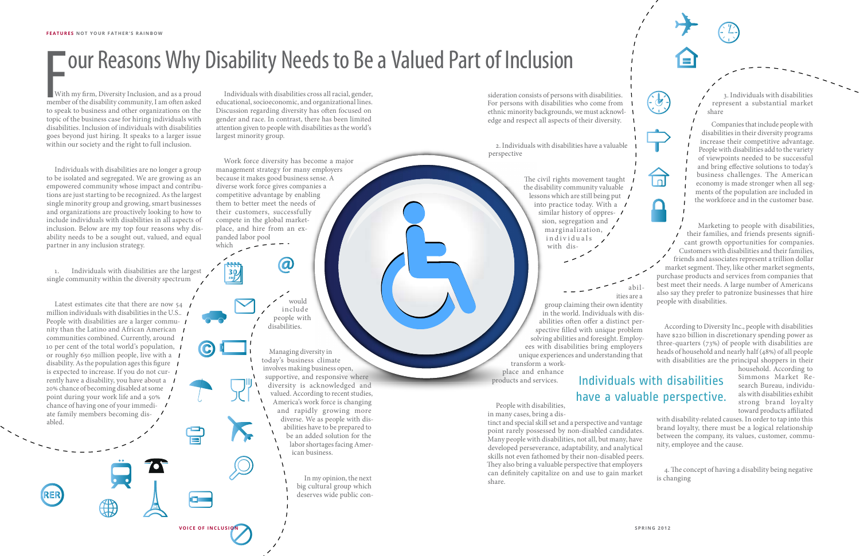Individuals with disabilities cross all racial, gender, educational, socioeconomic, and organizational lines. Discussion regarding diversity has often focused on gender and race. In contrast, there has been limited attention given to people with disabilities as the world's largest minority group.

Work force diversity has become a major management strategy for many employers because it makes good business sense. A diverse work force gives companies a competitive advantage by enabling them to better meet the needs of their customers, successfully compete in the global marketplace, and hire from an expanded labor pool which

With my firm, Diversity Inclusion, and as a proud member of the disability community, I am often asked to speak to business and other organizations on the topic of the business case for hiring individuals with disabilities. Inclusion of individuals with disabilities goes beyond just hiring. It speaks to a larger issue within our society and the right to full inclusion.

Individuals with disabilities are no longer a group to be isolated and segregated. We are growing as an empowered community whose impact and contributions are just starting to be recognized. As the largest single minority group and growing, smart businesses and organizations are proactively looking to how to include individuals with disabilities in all aspects of inclusion. Below are my top four reasons why disability needs to be a sought out, valued, and equal partner in any inclusion strategy.

1. Individuals with disabilities are the largest single community within the diversity spectrum

> household. According to Simmons Market Research Bureau, individuals with disabilities exhibit strong brand loyalty toward products affiliated

4. The concept of having a disability being negative is changing

Latest estimates cite that there are now 54 million individuals with disabilities in the U.S.. People with disabilities are a larger community than the Latino and African American communities combined. Currently, around 1 10 per cent of the total world's population, or roughly 650 million people, live with a disability. As the population ages this figure  $\blacksquare$ is expected to increase. If you do not currently have a disability, you have about a 20% chance of becoming disabled at some point during your work life and a 50% / chance of having one of your immediate family members becoming disabled.

The civil rights movement taught the disability community valuable lessons which are still being put into practice today. With a similar history of oppres-  $\prime$ sion, segregation and marginalization, individuals, with dis-

3. Individuals with disabilities represent a substantial market share

Companies that include people with disabilities in their diversity programs increase their competitive advantage. People with disabilities add to the variety of viewpoints needed to be successful and bring effective solutions to today's business challenges. The American economy is made stronger when all segments of the population are included in the workforce and in the customer base.

Marketing to people with disabilities, their families, and friends presents significant growth opportunities for companies. Customers with disabilities and their families, friends and associates represent a trillion dollar market segment. They, like other market segments, purchase products and services from companies that best meet their needs. A large number of Americans also say they prefer to patronize businesses that hire people with disabilities.

According to Diversity Inc., people with disabilities have \$220 billion in discretionary spending power as three-quarters (73%) of people with disabilities are heads of household and nearly half (48%) of all people with disabilities are the principal shoppers in their

with disability-related causes. In order to tap into this brand loyalty, there must be a logical relationship between the company, its values, customer, community, employee and the cause.

sideration consists of persons with disabilities. For persons with disabilities who come from ethnic minority backgrounds, we must acknowledge and respect all aspects of their diversity.

2. Individuals with disabilities have a valuable perspective

## Individuals with disabilities have a valuable perspective.

would include people with disabilities.

 $\boldsymbol{\varpi}$ 

 $\frac{30}{100}$ 

Managing diversity in today's business climate involves making business open, supportive, and responsive where diversity is acknowledged and valued. According to recent studies, America's work force is changing and rapidly growing more diverse. We as people with disabilities have to be prepared to be an added solution for the labor shortages facing American business.

> In my opinion, the next big cultural group which deserves wide public con

abil-

 $\overline{\blacksquare}$ 

ities are a group claiming their own identity in the world. Individuals with disabilities often offer a distinct perspective filled with unique problem solving abilities and foresight. Employ-

ees with disabilities bring employers unique experiences and understanding that transform a work-

place and enhance products and services.

People with disabilities, in many cases, bring a dis-

tinct and special skill set and a perspective and vantage point rarely possessed by non-disabled candidates. Many people with disabilities, not all, but many, have developed perseverance, adaptability, and analytical skills not even fathomed by their non-disabled peers. They also bring a valuable perspective that employers can definitely capitalize on and use to gain market share.

## **FOUR REASONS Why Disability Needs to Be a Valued Part of Inclusion (Seption Constant Of Inclusion and as a proud Individuals with disabilities cross all racial, gender,<br>member of the disability community, I am often asked**